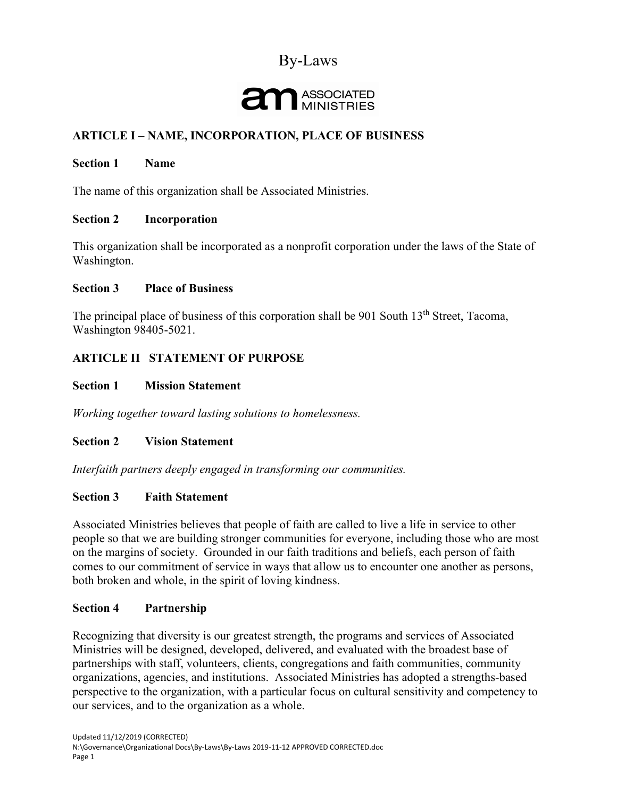## By-Laws

# ASSOCIATED

## **ARTICLE I – NAME, INCORPORATION, PLACE OF BUSINESS**

#### **Section 1 Name**

The name of this organization shall be Associated Ministries.

#### **Section 2 Incorporation**

This organization shall be incorporated as a nonprofit corporation under the laws of the State of Washington.

#### **Section 3 Place of Business**

The principal place of business of this corporation shall be 901 South  $13<sup>th</sup>$  Street, Tacoma, Washington 98405-5021.

## **ARTICLE II STATEMENT OF PURPOSE**

#### **Section 1 Mission Statement**

*Working together toward lasting solutions to homelessness.*

#### **Section 2 Vision Statement**

*Interfaith partners deeply engaged in transforming our communities.*

#### **Section 3 Faith Statement**

Associated Ministries believes that people of faith are called to live a life in service to other people so that we are building stronger communities for everyone, including those who are most on the margins of society. Grounded in our faith traditions and beliefs, each person of faith comes to our commitment of service in ways that allow us to encounter one another as persons, both broken and whole, in the spirit of loving kindness.

#### **Section 4 Partnership**

Recognizing that diversity is our greatest strength, the programs and services of Associated Ministries will be designed, developed, delivered, and evaluated with the broadest base of partnerships with staff, volunteers, clients, congregations and faith communities, community organizations, agencies, and institutions. Associated Ministries has adopted a strengths-based perspective to the organization, with a particular focus on cultural sensitivity and competency to our services, and to the organization as a whole.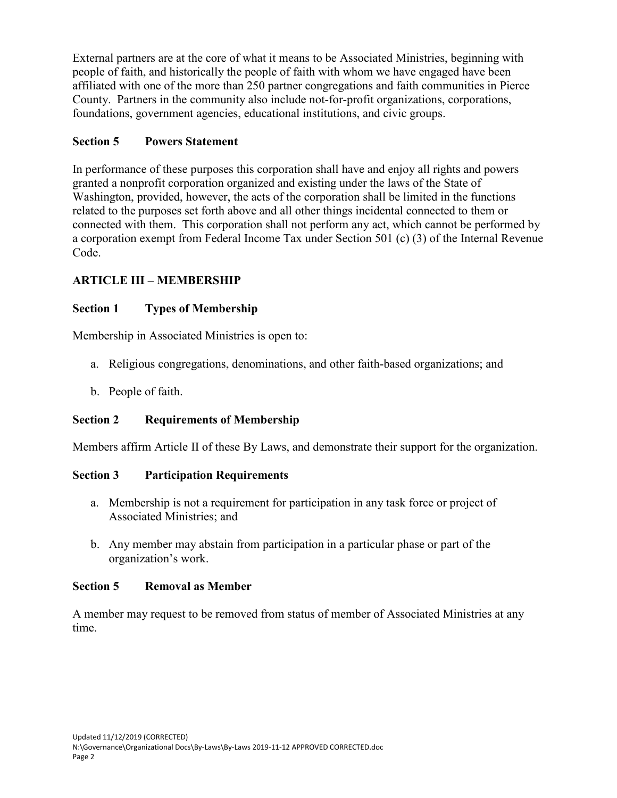External partners are at the core of what it means to be Associated Ministries, beginning with people of faith, and historically the people of faith with whom we have engaged have been affiliated with one of the more than 250 partner congregations and faith communities in Pierce County. Partners in the community also include not-for-profit organizations, corporations, foundations, government agencies, educational institutions, and civic groups.

## **Section 5 Powers Statement**

In performance of these purposes this corporation shall have and enjoy all rights and powers granted a nonprofit corporation organized and existing under the laws of the State of Washington, provided, however, the acts of the corporation shall be limited in the functions related to the purposes set forth above and all other things incidental connected to them or connected with them. This corporation shall not perform any act, which cannot be performed by a corporation exempt from Federal Income Tax under Section 501 (c) (3) of the Internal Revenue Code.

## **ARTICLE III – MEMBERSHIP**

## **Section 1 Types of Membership**

Membership in Associated Ministries is open to:

- a. Religious congregations, denominations, and other faith-based organizations; and
- b. People of faith.

## **Section 2 Requirements of Membership**

Members affirm Article II of these By Laws, and demonstrate their support for the organization.

## **Section 3 Participation Requirements**

- a. Membership is not a requirement for participation in any task force or project of Associated Ministries; and
- b. Any member may abstain from participation in a particular phase or part of the organization's work.

#### **Section 5 Removal as Member**

A member may request to be removed from status of member of Associated Ministries at any time.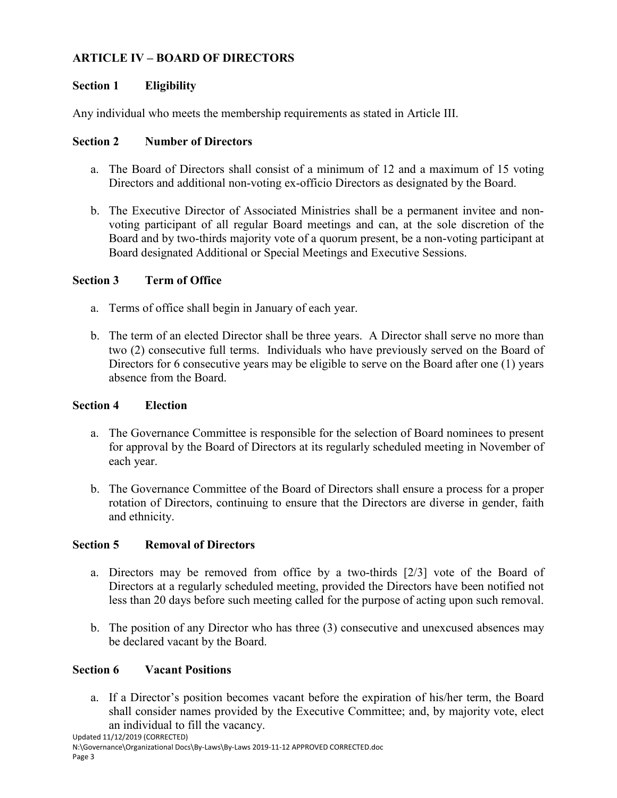## **ARTICLE IV – BOARD OF DIRECTORS**

### **Section 1 Eligibility**

Any individual who meets the membership requirements as stated in Article III.

#### **Section 2 Number of Directors**

- a. The Board of Directors shall consist of a minimum of 12 and a maximum of 15 voting Directors and additional non-voting ex-officio Directors as designated by the Board.
- b. The Executive Director of Associated Ministries shall be a permanent invitee and nonvoting participant of all regular Board meetings and can, at the sole discretion of the Board and by two-thirds majority vote of a quorum present, be a non-voting participant at Board designated Additional or Special Meetings and Executive Sessions.

#### **Section 3 Term of Office**

- a. Terms of office shall begin in January of each year.
- b. The term of an elected Director shall be three years. A Director shall serve no more than two (2) consecutive full terms. Individuals who have previously served on the Board of Directors for 6 consecutive years may be eligible to serve on the Board after one (1) years absence from the Board.

#### **Section 4 Election**

- a. The Governance Committee is responsible for the selection of Board nominees to present for approval by the Board of Directors at its regularly scheduled meeting in November of each year.
- b. The Governance Committee of the Board of Directors shall ensure a process for a proper rotation of Directors, continuing to ensure that the Directors are diverse in gender, faith and ethnicity.

#### **Section 5 Removal of Directors**

- a. Directors may be removed from office by a two-thirds [2/3] vote of the Board of Directors at a regularly scheduled meeting, provided the Directors have been notified not less than 20 days before such meeting called for the purpose of acting upon such removal.
- b. The position of any Director who has three (3) consecutive and unexcused absences may be declared vacant by the Board.

## **Section 6 Vacant Positions**

a. If a Director's position becomes vacant before the expiration of his/her term, the Board shall consider names provided by the Executive Committee; and, by majority vote, elect an individual to fill the vacancy.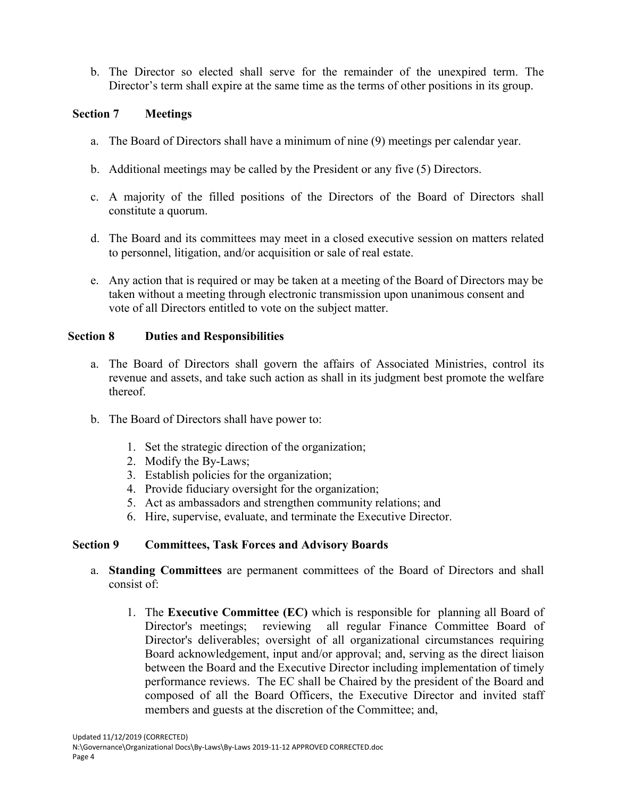b. The Director so elected shall serve for the remainder of the unexpired term. The Director's term shall expire at the same time as the terms of other positions in its group.

#### **Section 7 Meetings**

- a. The Board of Directors shall have a minimum of nine (9) meetings per calendar year.
- b. Additional meetings may be called by the President or any five (5) Directors.
- c. A majority of the filled positions of the Directors of the Board of Directors shall constitute a quorum.
- d. The Board and its committees may meet in a closed executive session on matters related to personnel, litigation, and/or acquisition or sale of real estate.
- e. Any action that is required or may be taken at a meeting of the Board of Directors may be taken without a meeting through electronic transmission upon unanimous consent and vote of all Directors entitled to vote on the subject matter.

## **Section 8 Duties and Responsibilities**

- a. The Board of Directors shall govern the affairs of Associated Ministries, control its revenue and assets, and take such action as shall in its judgment best promote the welfare thereof.
- b. The Board of Directors shall have power to:
	- 1. Set the strategic direction of the organization;
	- 2. Modify the By-Laws;
	- 3. Establish policies for the organization;
	- 4. Provide fiduciary oversight for the organization;
	- 5. Act as ambassadors and strengthen community relations; and
	- 6. Hire, supervise, evaluate, and terminate the Executive Director.

## **Section 9 Committees, Task Forces and Advisory Boards**

- a. **Standing Committees** are permanent committees of the Board of Directors and shall consist of:
	- 1. The **Executive Committee (EC)** which is responsible for planning all Board of Director's meetings; reviewing all regular Finance Committee Board of Director's deliverables; oversight of all organizational circumstances requiring Board acknowledgement, input and/or approval; and, serving as the direct liaison between the Board and the Executive Director including implementation of timely performance reviews. The EC shall be Chaired by the president of the Board and composed of all the Board Officers, the Executive Director and invited staff members and guests at the discretion of the Committee; and,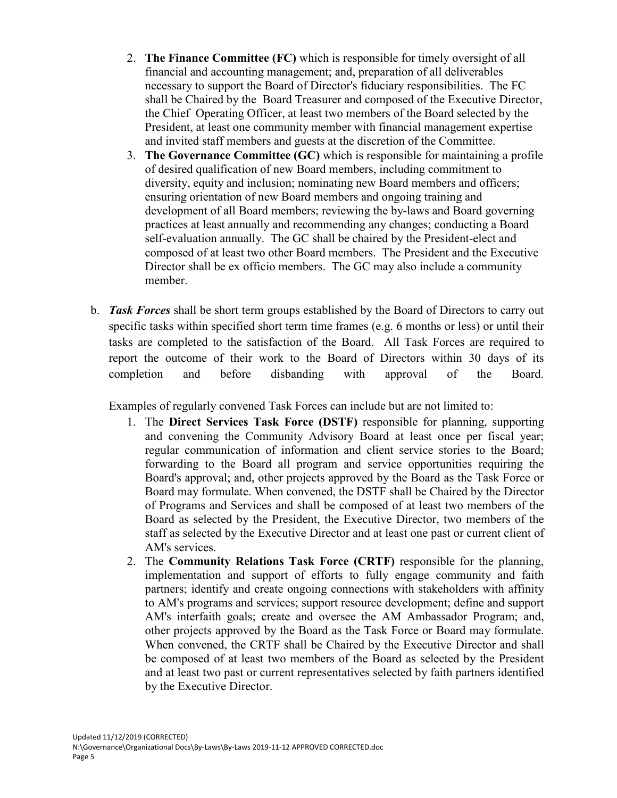- 2. **The Finance Committee (FC)** which is responsible for timely oversight of all financial and accounting management; and, preparation of all deliverables necessary to support the Board of Director's fiduciary responsibilities. The FC shall be Chaired by the Board Treasurer and composed of the Executive Director, the Chief Operating Officer, at least two members of the Board selected by the President, at least one community member with financial management expertise and invited staff members and guests at the discretion of the Committee.
- 3. **The Governance Committee (GC)** which is responsible for maintaining a profile of desired qualification of new Board members, including commitment to diversity, equity and inclusion; nominating new Board members and officers; ensuring orientation of new Board members and ongoing training and development of all Board members; reviewing the by-laws and Board governing practices at least annually and recommending any changes; conducting a Board self-evaluation annually. The GC shall be chaired by the President-elect and composed of at least two other Board members. The President and the Executive Director shall be ex officio members. The GC may also include a community member.
- b. *Task Forces* shall be short term groups established by the Board of Directors to carry out specific tasks within specified short term time frames (e.g. 6 months or less) or until their tasks are completed to the satisfaction of the Board. All Task Forces are required to report the outcome of their work to the Board of Directors within 30 days of its completion and before disbanding with approval of the Board.

Examples of regularly convened Task Forces can include but are not limited to:

- 1. The **Direct Services Task Force (DSTF)** responsible for planning, supporting and convening the Community Advisory Board at least once per fiscal year; regular communication of information and client service stories to the Board; forwarding to the Board all program and service opportunities requiring the Board's approval; and, other projects approved by the Board as the Task Force or Board may formulate. When convened, the DSTF shall be Chaired by the Director of Programs and Services and shall be composed of at least two members of the Board as selected by the President, the Executive Director, two members of the staff as selected by the Executive Director and at least one past or current client of AM's services.
- 2. The **Community Relations Task Force (CRTF)** responsible for the planning, implementation and support of efforts to fully engage community and faith partners; identify and create ongoing connections with stakeholders with affinity to AM's programs and services; support resource development; define and support AM's interfaith goals; create and oversee the AM Ambassador Program; and, other projects approved by the Board as the Task Force or Board may formulate. When convened, the CRTF shall be Chaired by the Executive Director and shall be composed of at least two members of the Board as selected by the President and at least two past or current representatives selected by faith partners identified by the Executive Director.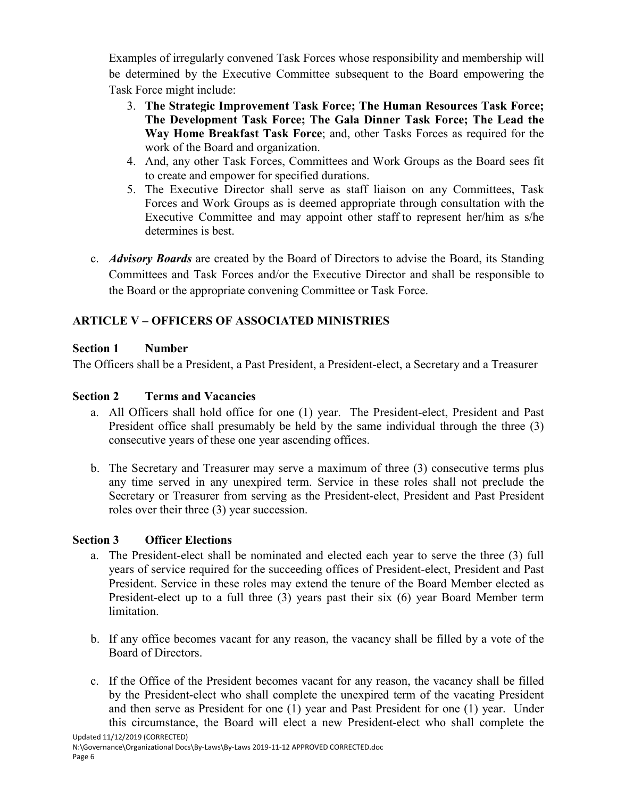Examples of irregularly convened Task Forces whose responsibility and membership will be determined by the Executive Committee subsequent to the Board empowering the Task Force might include:

- 3. **The Strategic Improvement Task Force; The Human Resources Task Force; The Development Task Force; The Gala Dinner Task Force; The Lead the Way Home Breakfast Task Force**; and, other Tasks Forces as required for the work of the Board and organization.
- 4. And, any other Task Forces, Committees and Work Groups as the Board sees fit to create and empower for specified durations.
- 5. The Executive Director shall serve as staff liaison on any Committees, Task Forces and Work Groups as is deemed appropriate through consultation with the Executive Committee and may appoint other staff to represent her/him as s/he determines is best.
- c. *Advisory Boards* are created by the Board of Directors to advise the Board, its Standing Committees and Task Forces and/or the Executive Director and shall be responsible to the Board or the appropriate convening Committee or Task Force.

## **ARTICLE V – OFFICERS OF ASSOCIATED MINISTRIES**

## **Section 1 Number**

The Officers shall be a President, a Past President, a President-elect, a Secretary and a Treasurer

## **Section 2 Terms and Vacancies**

- a. All Officers shall hold office for one (1) year. The President-elect, President and Past President office shall presumably be held by the same individual through the three (3) consecutive years of these one year ascending offices.
- b. The Secretary and Treasurer may serve a maximum of three (3) consecutive terms plus any time served in any unexpired term. Service in these roles shall not preclude the Secretary or Treasurer from serving as the President-elect, President and Past President roles over their three (3) year succession.

## **Section 3 Officer Elections**

- a. The President-elect shall be nominated and elected each year to serve the three (3) full years of service required for the succeeding offices of President-elect, President and Past President. Service in these roles may extend the tenure of the Board Member elected as President-elect up to a full three (3) years past their six (6) year Board Member term limitation.
- b. If any office becomes vacant for any reason, the vacancy shall be filled by a vote of the Board of Directors.
- c. If the Office of the President becomes vacant for any reason, the vacancy shall be filled by the President-elect who shall complete the unexpired term of the vacating President and then serve as President for one (1) year and Past President for one (1) year. Under this circumstance, the Board will elect a new President-elect who shall complete the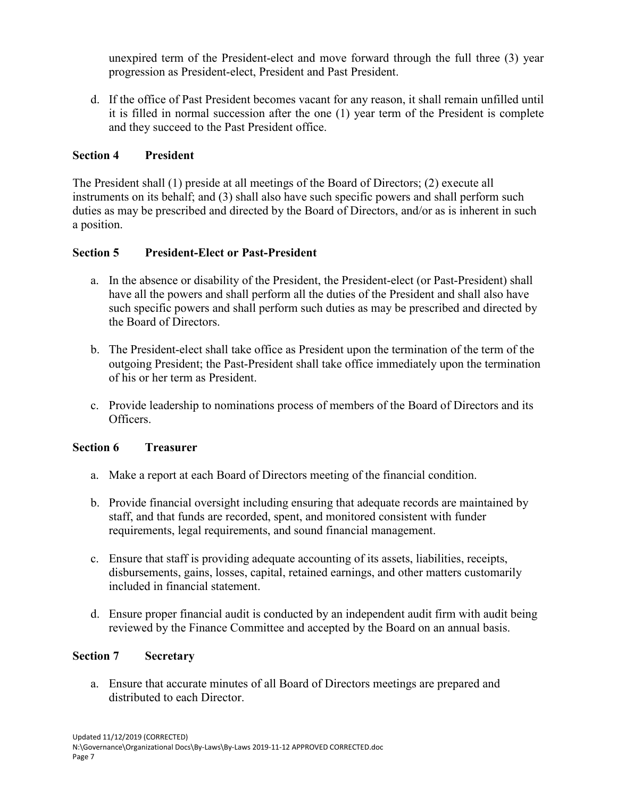unexpired term of the President-elect and move forward through the full three (3) year progression as President-elect, President and Past President.

d. If the office of Past President becomes vacant for any reason, it shall remain unfilled until it is filled in normal succession after the one (1) year term of the President is complete and they succeed to the Past President office.

## **Section 4 President**

The President shall (1) preside at all meetings of the Board of Directors; (2) execute all instruments on its behalf; and (3) shall also have such specific powers and shall perform such duties as may be prescribed and directed by the Board of Directors, and/or as is inherent in such a position.

## **Section 5 President-Elect or Past-President**

- a. In the absence or disability of the President, the President-elect (or Past-President) shall have all the powers and shall perform all the duties of the President and shall also have such specific powers and shall perform such duties as may be prescribed and directed by the Board of Directors.
- b. The President-elect shall take office as President upon the termination of the term of the outgoing President; the Past-President shall take office immediately upon the termination of his or her term as President.
- c. Provide leadership to nominations process of members of the Board of Directors and its Officers.

## **Section 6 Treasurer**

- a. Make a report at each Board of Directors meeting of the financial condition.
- b. Provide financial oversight including ensuring that adequate records are maintained by staff, and that funds are recorded, spent, and monitored consistent with funder requirements, legal requirements, and sound financial management.
- c. Ensure that staff is providing adequate accounting of its assets, liabilities, receipts, disbursements, gains, losses, capital, retained earnings, and other matters customarily included in financial statement.
- d. Ensure proper financial audit is conducted by an independent audit firm with audit being reviewed by the Finance Committee and accepted by the Board on an annual basis.

## **Section 7 Secretary**

a. Ensure that accurate minutes of all Board of Directors meetings are prepared and distributed to each Director.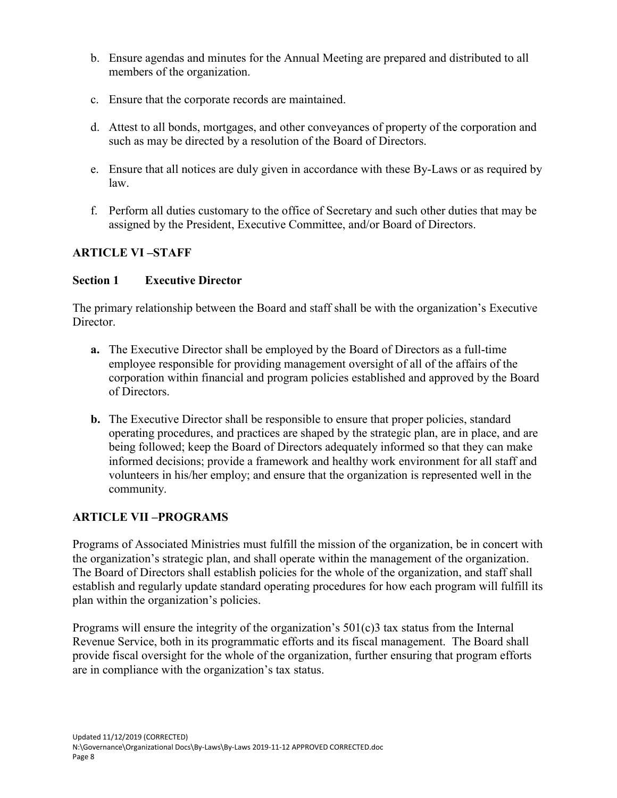- b. Ensure agendas and minutes for the Annual Meeting are prepared and distributed to all members of the organization.
- c. Ensure that the corporate records are maintained.
- d. Attest to all bonds, mortgages, and other conveyances of property of the corporation and such as may be directed by a resolution of the Board of Directors.
- e. Ensure that all notices are duly given in accordance with these By-Laws or as required by law.
- f. Perform all duties customary to the office of Secretary and such other duties that may be assigned by the President, Executive Committee, and/or Board of Directors.

## **ARTICLE VI –STAFF**

## **Section 1 Executive Director**

The primary relationship between the Board and staff shall be with the organization's Executive Director.

- **a.** The Executive Director shall be employed by the Board of Directors as a full-time employee responsible for providing management oversight of all of the affairs of the corporation within financial and program policies established and approved by the Board of Directors.
- **b.** The Executive Director shall be responsible to ensure that proper policies, standard operating procedures, and practices are shaped by the strategic plan, are in place, and are being followed; keep the Board of Directors adequately informed so that they can make informed decisions; provide a framework and healthy work environment for all staff and volunteers in his/her employ; and ensure that the organization is represented well in the community.

## **ARTICLE VII –PROGRAMS**

Programs of Associated Ministries must fulfill the mission of the organization, be in concert with the organization's strategic plan, and shall operate within the management of the organization. The Board of Directors shall establish policies for the whole of the organization, and staff shall establish and regularly update standard operating procedures for how each program will fulfill its plan within the organization's policies.

Programs will ensure the integrity of the organization's  $501(c)3$  tax status from the Internal Revenue Service, both in its programmatic efforts and its fiscal management. The Board shall provide fiscal oversight for the whole of the organization, further ensuring that program efforts are in compliance with the organization's tax status.